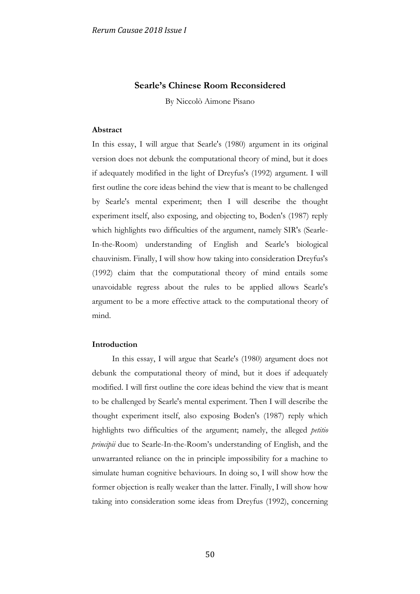# **Searle's Chinese Room Reconsidered**

By Niccolò Aimone Pisano

## **Abstract**

In this essay, I will argue that Searle's (1980) argument in its original version does not debunk the computational theory of mind, but it does if adequately modified in the light of Dreyfus's (1992) argument. I will first outline the core ideas behind the view that is meant to be challenged by Searle's mental experiment; then I will describe the thought experiment itself, also exposing, and objecting to, Boden's (1987) reply which highlights two difficulties of the argument, namely SIR's (Searle-In-the-Room) understanding of English and Searle's biological chauvinism. Finally, I will show how taking into consideration Dreyfus's (1992) claim that the computational theory of mind entails some unavoidable regress about the rules to be applied allows Searle's argument to be a more effective attack to the computational theory of mind.

# **Introduction**

In this essay, I will argue that Searle's (1980) argument does not debunk the computational theory of mind, but it does if adequately modified. I will first outline the core ideas behind the view that is meant to be challenged by Searle's mental experiment. Then I will describe the thought experiment itself, also exposing Boden's (1987) reply which highlights two difficulties of the argument; namely, the alleged *petitio principii* due to Searle-In-the-Room's understanding of English, and the unwarranted reliance on the in principle impossibility for a machine to simulate human cognitive behaviours. In doing so, I will show how the former objection is really weaker than the latter. Finally, I will show how taking into consideration some ideas from Dreyfus (1992), concerning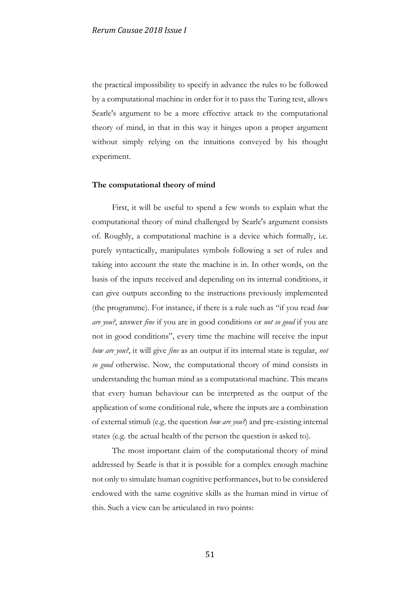the practical impossibility to specify in advance the rules to be followed by a computational machine in order for it to pass the Turing test, allows Searle's argument to be a more effective attack to the computational theory of mind, in that in this way it hinges upon a proper argument without simply relying on the intuitions conveyed by his thought experiment.

#### **The computational theory of mind**

First, it will be useful to spend a few words to explain what the computational theory of mind challenged by Searle's argument consists of. Roughly, a computational machine is a device which formally, i.e. purely syntactically, manipulates symbols following a set of rules and taking into account the state the machine is in. In other words, on the basis of the inputs received and depending on its internal conditions, it can give outputs according to the instructions previously implemented (the programme). For instance, if there is a rule such as "if you read *how are you?*, answer *fine* if you are in good conditions or *not so good* if you are not in good conditions", every time the machine will receive the input *how are you?*, it will give *fine* as an output if its internal state is regular, *not so good* otherwise*.* Now, the computational theory of mind consists in understanding the human mind as a computational machine. This means that every human behaviour can be interpreted as the output of the application of some conditional rule, where the inputs are a combination of external stimuli (e.g. the question *how are you?*) and pre-existing internal states (e.g. the actual health of the person the question is asked to).

The most important claim of the computational theory of mind addressed by Searle is that it is possible for a complex enough machine not only to simulate human cognitive performances, but to be considered endowed with the same cognitive skills as the human mind in virtue of this. Such a view can be articulated in two points: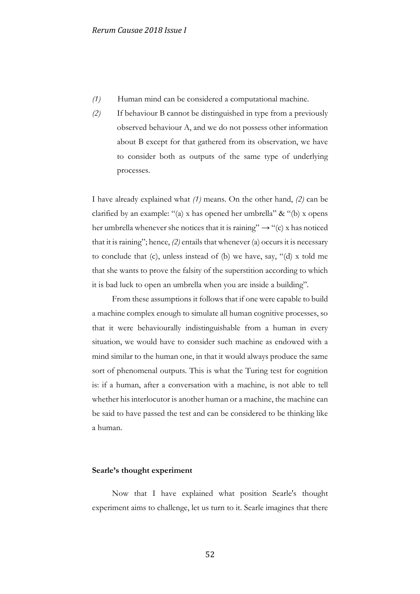- *(1)* Human mind can be considered a computational machine.
- *(2)* If behaviour B cannot be distinguished in type from a previously observed behaviour A, and we do not possess other information about B except for that gathered from its observation, we have to consider both as outputs of the same type of underlying processes.

I have already explained what *(1)* means. On the other hand, *(2)* can be clarified by an example: "(a) x has opened her umbrella" & "(b) x opens her umbrella whenever she notices that it is raining"  $\rightarrow$  "(c) x has noticed that it is raining"; hence, *(2)* entails that whenever (a) occurs it is necessary to conclude that (c), unless instead of (b) we have, say, "(d) x told me that she wants to prove the falsity of the superstition according to which it is bad luck to open an umbrella when you are inside a building".

From these assumptions it follows that if one were capable to build a machine complex enough to simulate all human cognitive processes, so that it were behaviourally indistinguishable from a human in every situation, we would have to consider such machine as endowed with a mind similar to the human one, in that it would always produce the same sort of phenomenal outputs. This is what the Turing test for cognition is: if a human, after a conversation with a machine, is not able to tell whether his interlocutor is another human or a machine, the machine can be said to have passed the test and can be considered to be thinking like a human.

### **Searle's thought experiment**

Now that I have explained what position Searle's thought experiment aims to challenge, let us turn to it. Searle imagines that there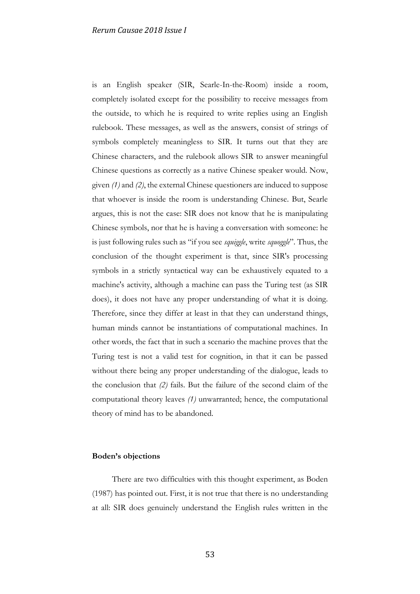is an English speaker (SIR, Searle-In-the-Room) inside a room, completely isolated except for the possibility to receive messages from the outside, to which he is required to write replies using an English rulebook. These messages, as well as the answers, consist of strings of symbols completely meaningless to SIR. It turns out that they are Chinese characters, and the rulebook allows SIR to answer meaningful Chinese questions as correctly as a native Chinese speaker would. Now, given *(1)* and *(2)*, the external Chinese questioners are induced to suppose that whoever is inside the room is understanding Chinese. But, Searle argues, this is not the case: SIR does not know that he is manipulating Chinese symbols, nor that he is having a conversation with someone: he is just following rules such as "if you see *squiggle*, write *squoggle*". Thus, the conclusion of the thought experiment is that, since SIR's processing symbols in a strictly syntactical way can be exhaustively equated to a machine's activity, although a machine can pass the Turing test (as SIR does), it does not have any proper understanding of what it is doing. Therefore, since they differ at least in that they can understand things, human minds cannot be instantiations of computational machines. In other words, the fact that in such a scenario the machine proves that the Turing test is not a valid test for cognition, in that it can be passed without there being any proper understanding of the dialogue, leads to the conclusion that *(2)* fails. But the failure of the second claim of the computational theory leaves *(1)* unwarranted; hence, the computational theory of mind has to be abandoned.

# **Boden's objections**

There are two difficulties with this thought experiment, as Boden (1987) has pointed out. First, it is not true that there is no understanding at all: SIR does genuinely understand the English rules written in the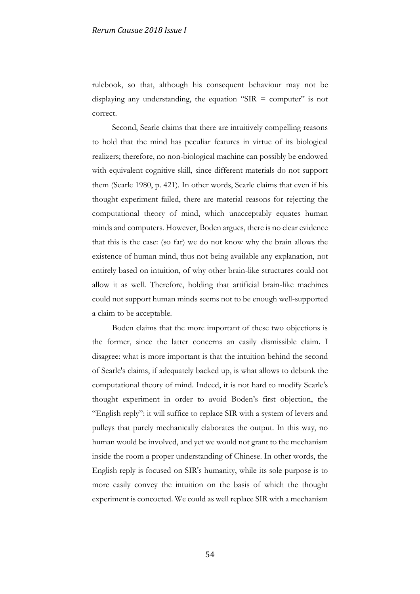rulebook, so that, although his consequent behaviour may not be displaying any understanding, the equation "SIR  $=$  computer" is not correct.

Second, Searle claims that there are intuitively compelling reasons to hold that the mind has peculiar features in virtue of its biological realizers; therefore, no non-biological machine can possibly be endowed with equivalent cognitive skill, since different materials do not support them (Searle 1980, p. 421). In other words, Searle claims that even if his thought experiment failed, there are material reasons for rejecting the computational theory of mind, which unacceptably equates human minds and computers. However, Boden argues, there is no clear evidence that this is the case: (so far) we do not know why the brain allows the existence of human mind, thus not being available any explanation, not entirely based on intuition, of why other brain-like structures could not allow it as well. Therefore, holding that artificial brain-like machines could not support human minds seems not to be enough well-supported a claim to be acceptable.

Boden claims that the more important of these two objections is the former, since the latter concerns an easily dismissible claim. I disagree: what is more important is that the intuition behind the second of Searle's claims, if adequately backed up, is what allows to debunk the computational theory of mind. Indeed, it is not hard to modify Searle's thought experiment in order to avoid Boden's first objection, the "English reply": it will suffice to replace SIR with a system of levers and pulleys that purely mechanically elaborates the output. In this way, no human would be involved, and yet we would not grant to the mechanism inside the room a proper understanding of Chinese. In other words, the English reply is focused on SIR's humanity, while its sole purpose is to more easily convey the intuition on the basis of which the thought experiment is concocted. We could as well replace SIR with a mechanism

54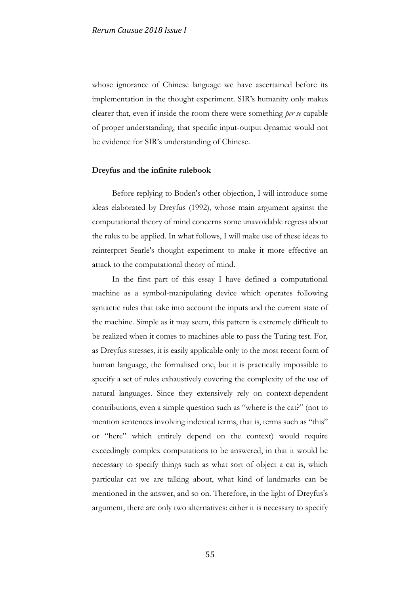whose ignorance of Chinese language we have ascertained before its implementation in the thought experiment. SIR's humanity only makes clearer that, even if inside the room there were something *per se* capable of proper understanding, that specific input-output dynamic would not be evidence for SIR's understanding of Chinese.

### **Dreyfus and the infinite rulebook**

Before replying to Boden's other objection, I will introduce some ideas elaborated by Dreyfus (1992), whose main argument against the computational theory of mind concerns some unavoidable regress about the rules to be applied. In what follows, I will make use of these ideas to reinterpret Searle's thought experiment to make it more effective an attack to the computational theory of mind.

In the first part of this essay I have defined a computational machine as a symbol-manipulating device which operates following syntactic rules that take into account the inputs and the current state of the machine. Simple as it may seem, this pattern is extremely difficult to be realized when it comes to machines able to pass the Turing test. For, as Dreyfus stresses, it is easily applicable only to the most recent form of human language, the formalised one, but it is practically impossible to specify a set of rules exhaustively covering the complexity of the use of natural languages. Since they extensively rely on context-dependent contributions, even a simple question such as "where is the cat?" (not to mention sentences involving indexical terms, that is, terms such as "this" or "here" which entirely depend on the context) would require exceedingly complex computations to be answered, in that it would be necessary to specify things such as what sort of object a cat is, which particular cat we are talking about, what kind of landmarks can be mentioned in the answer, and so on. Therefore, in the light of Dreyfus's argument, there are only two alternatives: either it is necessary to specify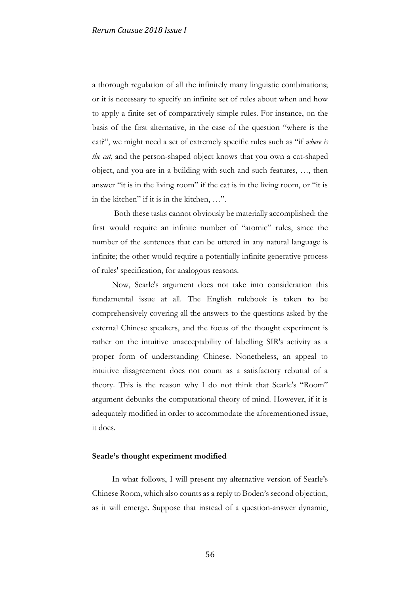a thorough regulation of all the infinitely many linguistic combinations; or it is necessary to specify an infinite set of rules about when and how to apply a finite set of comparatively simple rules. For instance, on the basis of the first alternative, in the case of the question "where is the cat?", we might need a set of extremely specific rules such as "if *where is the cat*, and the person-shaped object knows that you own a cat-shaped object, and you are in a building with such and such features, …, then answer "it is in the living room" if the cat is in the living room, or "it is in the kitchen" if it is in the kitchen, …".

Both these tasks cannot obviously be materially accomplished: the first would require an infinite number of "atomic" rules, since the number of the sentences that can be uttered in any natural language is infinite; the other would require a potentially infinite generative process of rules' specification, for analogous reasons.

Now, Searle's argument does not take into consideration this fundamental issue at all. The English rulebook is taken to be comprehensively covering all the answers to the questions asked by the external Chinese speakers, and the focus of the thought experiment is rather on the intuitive unacceptability of labelling SIR's activity as a proper form of understanding Chinese. Nonetheless, an appeal to intuitive disagreement does not count as a satisfactory rebuttal of a theory. This is the reason why I do not think that Searle's "Room" argument debunks the computational theory of mind. However, if it is adequately modified in order to accommodate the aforementioned issue, it does.

## **Searle's thought experiment modified**

In what follows, I will present my alternative version of Searle's Chinese Room, which also counts as a reply to Boden's second objection, as it will emerge. Suppose that instead of a question-answer dynamic,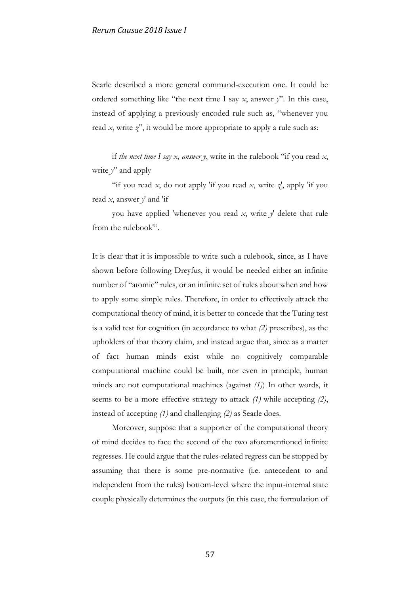Searle described a more general command-execution one. It could be ordered something like "the next time I say *x*, answer *y*". In this case, instead of applying a previously encoded rule such as, "whenever you read *x*, write *z*", it would be more appropriate to apply a rule such as:

if *the next time I say x, answer y*, write in the rulebook "if you read *x*, write  $y'$  and apply

"if you read *x*, do not apply 'if you read *x*, write  $\chi'$ , apply 'if you read *x*, answer *y*' and 'if

you have applied 'whenever you read *x*, write *y*' delete that rule from the rulebook'".

It is clear that it is impossible to write such a rulebook, since, as I have shown before following Dreyfus, it would be needed either an infinite number of "atomic" rules, or an infinite set of rules about when and how to apply some simple rules. Therefore, in order to effectively attack the computational theory of mind, it is better to concede that the Turing test is a valid test for cognition (in accordance to what *(2)* prescribes), as the upholders of that theory claim, and instead argue that, since as a matter of fact human minds exist while no cognitively comparable computational machine could be built, nor even in principle, human minds are not computational machines (against *(1)*) In other words, it seems to be a more effective strategy to attack *(1)* while accepting *(2)*, instead of accepting *(1)* and challenging *(2)* as Searle does.

Moreover, suppose that a supporter of the computational theory of mind decides to face the second of the two aforementioned infinite regresses. He could argue that the rules-related regress can be stopped by assuming that there is some pre-normative (i.e. antecedent to and independent from the rules) bottom-level where the input-internal state couple physically determines the outputs (in this case, the formulation of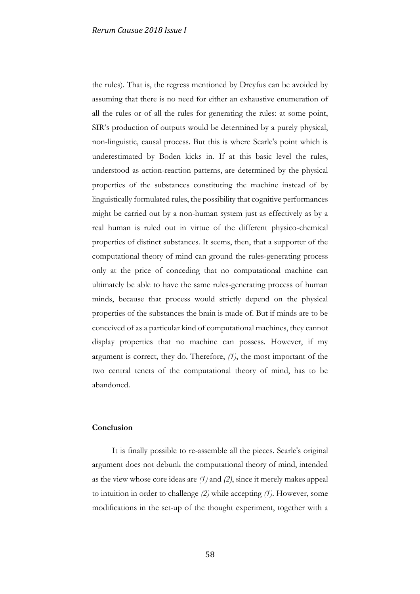the rules). That is, the regress mentioned by Dreyfus can be avoided by assuming that there is no need for either an exhaustive enumeration of all the rules or of all the rules for generating the rules: at some point, SIR's production of outputs would be determined by a purely physical, non-linguistic, causal process. But this is where Searle's point which is underestimated by Boden kicks in. If at this basic level the rules, understood as action-reaction patterns, are determined by the physical properties of the substances constituting the machine instead of by linguistically formulated rules, the possibility that cognitive performances might be carried out by a non-human system just as effectively as by a real human is ruled out in virtue of the different physico-chemical properties of distinct substances. It seems, then, that a supporter of the computational theory of mind can ground the rules-generating process only at the price of conceding that no computational machine can ultimately be able to have the same rules-generating process of human minds, because that process would strictly depend on the physical properties of the substances the brain is made of. But if minds are to be conceived of as a particular kind of computational machines, they cannot display properties that no machine can possess. However, if my argument is correct, they do. Therefore, *(1)*, the most important of the two central tenets of the computational theory of mind, has to be abandoned.

### **Conclusion**

It is finally possible to re-assemble all the pieces. Searle's original argument does not debunk the computational theory of mind, intended as the view whose core ideas are *(1)* and *(2)*, since it merely makes appeal to intuition in order to challenge *(2)* while accepting *(1)*. However, some modifications in the set-up of the thought experiment, together with a